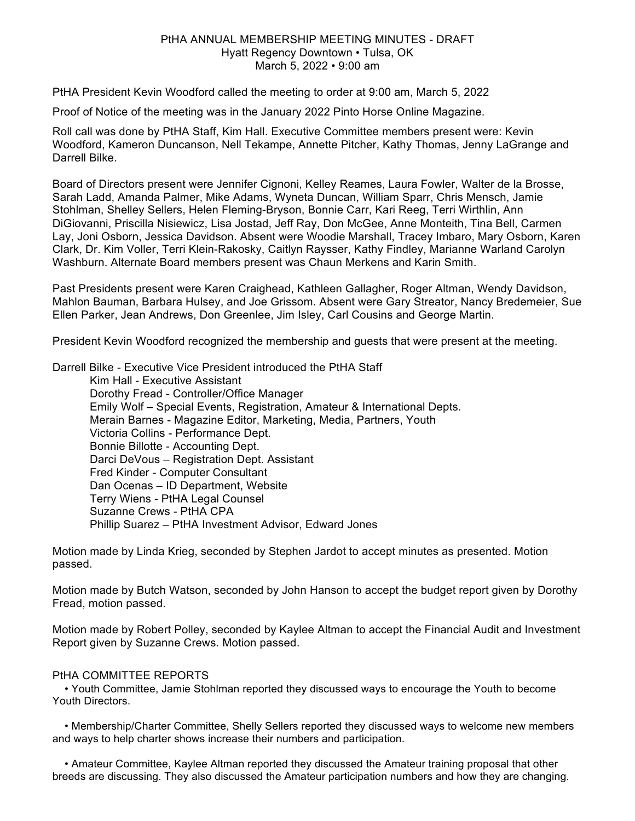## PtHA ANNUAL MEMBERSHIP MEETING MINUTES - DRAFT Hyatt Regency Downtown • Tulsa, OK March 5, 2022 • 9:00 am

PtHA President Kevin Woodford called the meeting to order at 9:00 am, March 5, 2022

Proof of Notice of the meeting was in the January 2022 Pinto Horse Online Magazine.

Roll call was done by PtHA Staff, Kim Hall. Executive Committee members present were: Kevin Woodford, Kameron Duncanson, Nell Tekampe, Annette Pitcher, Kathy Thomas, Jenny LaGrange and Darrell Bilke.

Board of Directors present were Jennifer Cignoni, Kelley Reames, Laura Fowler, Walter de la Brosse, Sarah Ladd, Amanda Palmer, Mike Adams, Wyneta Duncan, William Sparr, Chris Mensch, Jamie Stohlman, Shelley Sellers, Helen Fleming-Bryson, Bonnie Carr, Kari Reeg, Terri Wirthlin, Ann DiGiovanni, Priscilla Nisiewicz, Lisa Jostad, Jeff Ray, Don McGee, Anne Monteith, Tina Bell, Carmen Lay, Joni Osborn, Jessica Davidson. Absent were Woodie Marshall, Tracey Imbaro, Mary Osborn, Karen Clark, Dr. Kim Voller, Terri Klein-Rakosky, Caitlyn Raysser, Kathy Findley, Marianne Warland Carolyn Washburn. Alternate Board members present was Chaun Merkens and Karin Smith.

Past Presidents present were Karen Craighead, Kathleen Gallagher, Roger Altman, Wendy Davidson, Mahlon Bauman, Barbara Hulsey, and Joe Grissom. Absent were Gary Streator, Nancy Bredemeier, Sue Ellen Parker, Jean Andrews, Don Greenlee, Jim Isley, Carl Cousins and George Martin.

President Kevin Woodford recognized the membership and guests that were present at the meeting.

Darrell Bilke - Executive Vice President introduced the PtHA Staff

Kim Hall - Executive Assistant Dorothy Fread - Controller/Office Manager Emily Wolf – Special Events, Registration, Amateur & International Depts. Merain Barnes - Magazine Editor, Marketing, Media, Partners, Youth Victoria Collins - Performance Dept. Bonnie Billotte - Accounting Dept. Darci DeVous – Registration Dept. Assistant Fred Kinder - Computer Consultant Dan Ocenas – ID Department, Website Terry Wiens - PtHA Legal Counsel Suzanne Crews - PtHA CPA Phillip Suarez – PtHA Investment Advisor, Edward Jones

Motion made by Linda Krieg, seconded by Stephen Jardot to accept minutes as presented. Motion passed.

Motion made by Butch Watson, seconded by John Hanson to accept the budget report given by Dorothy Fread, motion passed.

Motion made by Robert Polley, seconded by Kaylee Altman to accept the Financial Audit and Investment Report given by Suzanne Crews. Motion passed.

## PtHA COMMITTEE REPORTS

 • Youth Committee, Jamie Stohlman reported they discussed ways to encourage the Youth to become Youth Directors.

 • Membership/Charter Committee, Shelly Sellers reported they discussed ways to welcome new members and ways to help charter shows increase their numbers and participation.

 • Amateur Committee, Kaylee Altman reported they discussed the Amateur training proposal that other breeds are discussing. They also discussed the Amateur participation numbers and how they are changing.